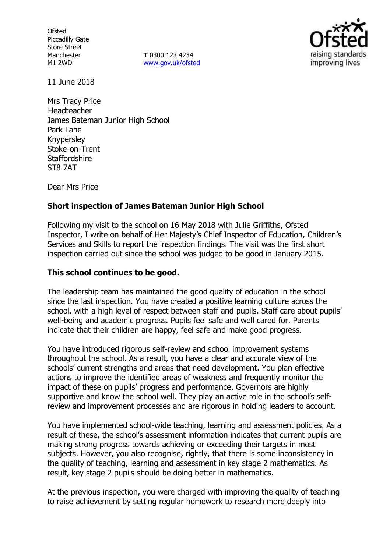**Ofsted** Piccadilly Gate Store Street Manchester M1 2WD

**T** 0300 123 4234 www.gov.uk/ofsted



11 June 2018

Mrs Tracy Price Headteacher James Bateman Junior High School Park Lane Knypersley Stoke-on-Trent **Staffordshire** ST8 7AT

Dear Mrs Price

### **Short inspection of James Bateman Junior High School**

Following my visit to the school on 16 May 2018 with Julie Griffiths, Ofsted Inspector, I write on behalf of Her Majesty's Chief Inspector of Education, Children's Services and Skills to report the inspection findings. The visit was the first short inspection carried out since the school was judged to be good in January 2015.

#### **This school continues to be good.**

The leadership team has maintained the good quality of education in the school since the last inspection. You have created a positive learning culture across the school, with a high level of respect between staff and pupils. Staff care about pupils' well-being and academic progress. Pupils feel safe and well cared for. Parents indicate that their children are happy, feel safe and make good progress.

You have introduced rigorous self-review and school improvement systems throughout the school. As a result, you have a clear and accurate view of the schools' current strengths and areas that need development. You plan effective actions to improve the identified areas of weakness and frequently monitor the impact of these on pupils' progress and performance. Governors are highly supportive and know the school well. They play an active role in the school's selfreview and improvement processes and are rigorous in holding leaders to account.

You have implemented school-wide teaching, learning and assessment policies. As a result of these, the school's assessment information indicates that current pupils are making strong progress towards achieving or exceeding their targets in most subjects. However, you also recognise, rightly, that there is some inconsistency in the quality of teaching, learning and assessment in key stage 2 mathematics. As result, key stage 2 pupils should be doing better in mathematics.

At the previous inspection, you were charged with improving the quality of teaching to raise achievement by setting regular homework to research more deeply into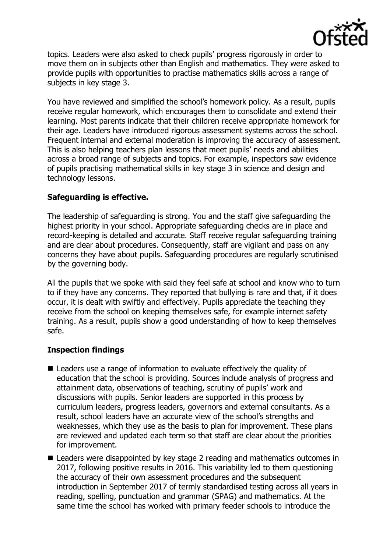

topics. Leaders were also asked to check pupils' progress rigorously in order to move them on in subjects other than English and mathematics. They were asked to provide pupils with opportunities to practise mathematics skills across a range of subjects in key stage 3.

You have reviewed and simplified the school's homework policy. As a result, pupils receive regular homework, which encourages them to consolidate and extend their learning. Most parents indicate that their children receive appropriate homework for their age. Leaders have introduced rigorous assessment systems across the school. Frequent internal and external moderation is improving the accuracy of assessment. This is also helping teachers plan lessons that meet pupils' needs and abilities across a broad range of subjects and topics. For example, inspectors saw evidence of pupils practising mathematical skills in key stage 3 in science and design and technology lessons.

## **Safeguarding is effective.**

The leadership of safeguarding is strong. You and the staff give safeguarding the highest priority in your school. Appropriate safeguarding checks are in place and record-keeping is detailed and accurate. Staff receive regular safeguarding training and are clear about procedures. Consequently, staff are vigilant and pass on any concerns they have about pupils. Safeguarding procedures are regularly scrutinised by the governing body.

All the pupils that we spoke with said they feel safe at school and know who to turn to if they have any concerns. They reported that bullying is rare and that, if it does occur, it is dealt with swiftly and effectively. Pupils appreciate the teaching they receive from the school on keeping themselves safe, for example internet safety training. As a result, pupils show a good understanding of how to keep themselves safe.

# **Inspection findings**

- Leaders use a range of information to evaluate effectively the quality of education that the school is providing. Sources include analysis of progress and attainment data, observations of teaching, scrutiny of pupils' work and discussions with pupils. Senior leaders are supported in this process by curriculum leaders, progress leaders, governors and external consultants. As a result, school leaders have an accurate view of the school's strengths and weaknesses, which they use as the basis to plan for improvement. These plans are reviewed and updated each term so that staff are clear about the priorities for improvement.
- Leaders were disappointed by key stage 2 reading and mathematics outcomes in 2017, following positive results in 2016. This variability led to them questioning the accuracy of their own assessment procedures and the subsequent introduction in September 2017 of termly standardised testing across all years in reading, spelling, punctuation and grammar (SPAG) and mathematics. At the same time the school has worked with primary feeder schools to introduce the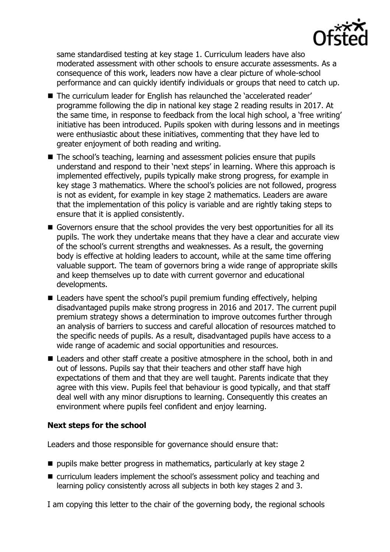

same standardised testing at key stage 1. Curriculum leaders have also moderated assessment with other schools to ensure accurate assessments. As a consequence of this work, leaders now have a clear picture of whole-school performance and can quickly identify individuals or groups that need to catch up.

- The curriculum leader for English has relaunched the 'accelerated reader' programme following the dip in national key stage 2 reading results in 2017. At the same time, in response to feedback from the local high school, a 'free writing' initiative has been introduced. Pupils spoken with during lessons and in meetings were enthusiastic about these initiatives, commenting that they have led to greater enjoyment of both reading and writing.
- The school's teaching, learning and assessment policies ensure that pupils understand and respond to their 'next steps' in learning. Where this approach is implemented effectively, pupils typically make strong progress, for example in key stage 3 mathematics. Where the school's policies are not followed, progress is not as evident, for example in key stage 2 mathematics. Leaders are aware that the implementation of this policy is variable and are rightly taking steps to ensure that it is applied consistently.
- Governors ensure that the school provides the very best opportunities for all its pupils. The work they undertake means that they have a clear and accurate view of the school's current strengths and weaknesses. As a result, the governing body is effective at holding leaders to account, while at the same time offering valuable support. The team of governors bring a wide range of appropriate skills and keep themselves up to date with current governor and educational developments.
- Leaders have spent the school's pupil premium funding effectively, helping disadvantaged pupils make strong progress in 2016 and 2017. The current pupil premium strategy shows a determination to improve outcomes further through an analysis of barriers to success and careful allocation of resources matched to the specific needs of pupils. As a result, disadvantaged pupils have access to a wide range of academic and social opportunities and resources.
- Leaders and other staff create a positive atmosphere in the school, both in and out of lessons. Pupils say that their teachers and other staff have high expectations of them and that they are well taught. Parents indicate that they agree with this view. Pupils feel that behaviour is good typically, and that staff deal well with any minor disruptions to learning. Consequently this creates an environment where pupils feel confident and enjoy learning.

### **Next steps for the school**

Leaders and those responsible for governance should ensure that:

- $\blacksquare$  pupils make better progress in mathematics, particularly at key stage 2
- curriculum leaders implement the school's assessment policy and teaching and learning policy consistently across all subjects in both key stages 2 and 3.

I am copying this letter to the chair of the governing body, the regional schools